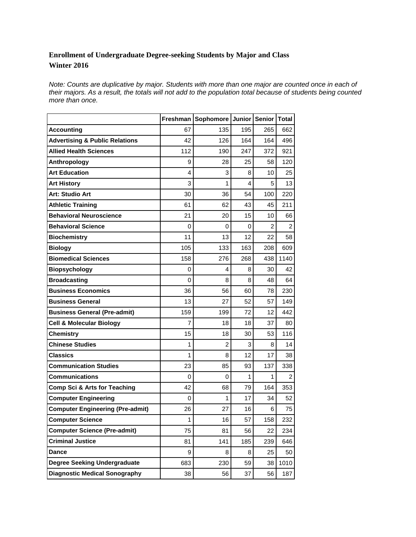## **Enrollment of Undergraduate Degree-seeking Students by Major and Class Winter 2016**

*Note: Counts are duplicative by major. Students with more than one major are counted once in each of*  their majors. As a result, the totals will not add to the population total because of students being counted *more than once.* 

|                                           | Freshman       | Sophomore | Junior | Senior | <b>Total</b> |
|-------------------------------------------|----------------|-----------|--------|--------|--------------|
| <b>Accounting</b>                         | 67             | 135       | 195    | 265    | 662          |
| <b>Advertising &amp; Public Relations</b> | 42             | 126       | 164    | 164    | 496          |
| <b>Allied Health Sciences</b>             | 112            | 190       | 247    | 372    | 921          |
| Anthropology                              | 9              | 28        | 25     | 58     | 120          |
| <b>Art Education</b>                      | 4              | 3         | 8      | 10     | 25           |
| <b>Art History</b>                        | 3              | 1         | 4      | 5      | 13           |
| Art: Studio Art                           | 30             | 36        | 54     | 100    | 220          |
| <b>Athletic Training</b>                  | 61             | 62        | 43     | 45     | 211          |
| <b>Behavioral Neuroscience</b>            | 21             | 20        | 15     | 10     | 66           |
| <b>Behavioral Science</b>                 | 0              | 0         | 0      | 2      | 2            |
| <b>Biochemistry</b>                       | 11             | 13        | 12     | 22     | 58           |
| <b>Biology</b>                            | 105            | 133       | 163    | 208    | 609          |
| <b>Biomedical Sciences</b>                | 158            | 276       | 268    | 438    | 1140         |
| <b>Biopsychology</b>                      | 0              | 4         | 8      | 30     | 42           |
| <b>Broadcasting</b>                       | 0              | 8         | 8      | 48     | 64           |
| <b>Business Economics</b>                 | 36             | 56        | 60     | 78     | 230          |
| <b>Business General</b>                   | 13             | 27        | 52     | 57     | 149          |
| <b>Business General (Pre-admit)</b>       | 159            | 199       | 72     | 12     | 442          |
| <b>Cell &amp; Molecular Biology</b>       | $\overline{7}$ | 18        | 18     | 37     | 80           |
| <b>Chemistry</b>                          | 15             | 18        | 30     | 53     | 116          |
| <b>Chinese Studies</b>                    | 1              | 2         | 3      | 8      | 14           |
| Classics                                  | 1              | 8         | 12     | 17     | 38           |
| <b>Communication Studies</b>              | 23             | 85        | 93     | 137    | 338          |
| <b>Communications</b>                     | 0              | 0         | 1      | 1      | 2            |
| Comp Sci & Arts for Teaching              | 42             | 68        | 79     | 164    | 353          |
| <b>Computer Engineering</b>               | 0              | 1         | 17     | 34     | 52           |
| <b>Computer Engineering (Pre-admit)</b>   | 26             | 27        | 16     | 6      | 75           |
| <b>Computer Science</b>                   | 1              | 16        | 57     | 158    | 232          |
| <b>Computer Science (Pre-admit)</b>       | 75             | 81        | 56     | 22     | 234          |
| <b>Criminal Justice</b>                   | 81             | 141       | 185    | 239    | 646          |
| <b>Dance</b>                              | 9              | 8         | 8      | 25     | 50           |
| <b>Degree Seeking Undergraduate</b>       | 683            | 230       | 59     | 38     | 1010         |
| <b>Diagnostic Medical Sonography</b>      | 38             | 56        | 37     | 56     | 187          |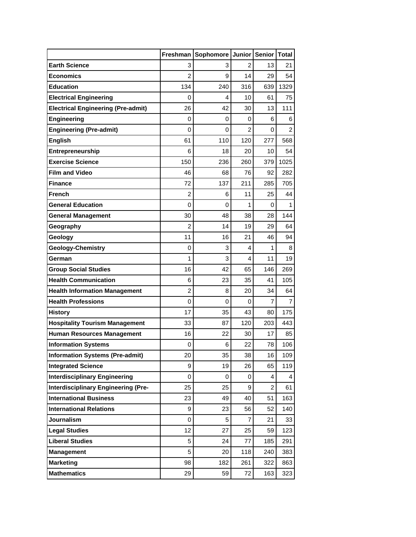|                                            | Freshman       | Sophomore | <b>Junior</b>  | Senior   Total |      |
|--------------------------------------------|----------------|-----------|----------------|----------------|------|
| <b>Earth Science</b>                       | 3              | 3         | 2              | 13             | 21   |
| Economics                                  | 2              | 9         | 14             | 29             | 54   |
| <b>Education</b>                           | 134            | 240       | 316            | 639            | 1329 |
| <b>Electrical Engineering</b>              | 0              | 4         | 10             | 61             | 75   |
| <b>Electrical Engineering (Pre-admit)</b>  | 26             | 42        | 30             | 13             | 111  |
| <b>Engineering</b>                         | 0              | 0         | 0              | 6              | 6    |
| <b>Engineering (Pre-admit)</b>             | 0              | 0         | $\overline{2}$ | 0              | 2    |
| <b>English</b>                             | 61             | 110       | 120            | 277            | 568  |
| Entrepreneurship                           | 6              | 18        | 20             | 10             | 54   |
| <b>Exercise Science</b>                    | 150            | 236       | 260            | 379            | 1025 |
| <b>Film and Video</b>                      | 46             | 68        | 76             | 92             | 282  |
| Finance                                    | 72             | 137       | 211            | 285            | 705  |
| French                                     | $\overline{2}$ | 6         | 11             | 25             | 44   |
| <b>General Education</b>                   | $\mathbf 0$    | 0         | 1              | 0              | 1    |
| <b>General Management</b>                  | 30             | 48        | 38             | 28             | 144  |
| Geography                                  | $\overline{2}$ | 14        | 19             | 29             | 64   |
| Geology                                    | 11             | 16        | 21             | 46             | 94   |
| <b>Geology-Chemistry</b>                   | 0              | 3         | 4              | 1              | 8    |
| German                                     | 1              | 3         | 4              | 11             | 19   |
| <b>Group Social Studies</b>                | 16             | 42        | 65             | 146            | 269  |
| <b>Health Communication</b>                | 6              | 23        | 35             | 41             | 105  |
| <b>Health Information Management</b>       | $\overline{2}$ | 8         | 20             | 34             | 64   |
| <b>Health Professions</b>                  | 0              | 0         | 0              | 7              | 7    |
| <b>History</b>                             | 17             | 35        | 43             | 80             | 175  |
| <b>Hospitality Tourism Management</b>      | 33             | 87        | 120            | 203            | 443  |
| <b>Human Resources Management</b>          | 16             | 22        | 30             | 17             | 85   |
| <b>Information Systems</b>                 | 0              | 6         | 22             | 78             | 106  |
| <b>Information Systems (Pre-admit)</b>     | 20             | 35        | 38             | 16             | 109  |
| <b>Integrated Science</b>                  | 9              | 19        | 26             | 65             | 119  |
| <b>Interdisciplinary Engineering</b>       | 0              | 0         | 0              | 4              | 4    |
| <b>Interdisciplinary Engineering (Pre-</b> | 25             | 25        | 9              | $\overline{c}$ | 61   |
| <b>International Business</b>              | 23             | 49        | 40             | 51             | 163  |
| <b>International Relations</b>             | 9              | 23        | 56             | 52             | 140  |
| <b>Journalism</b>                          | 0              | 5         | 7              | 21             | 33   |
| <b>Legal Studies</b>                       | 12             | 27        | 25             | 59             | 123  |
| <b>Liberal Studies</b>                     | 5              | 24        | 77             | 185            | 291  |
| <b>Management</b>                          | 5              | 20        | 118            | 240            | 383  |
| <b>Marketing</b>                           | 98             | 182       | 261            | 322            | 863  |
| <b>Mathematics</b>                         | 29             | 59        | 72             | 163            | 323  |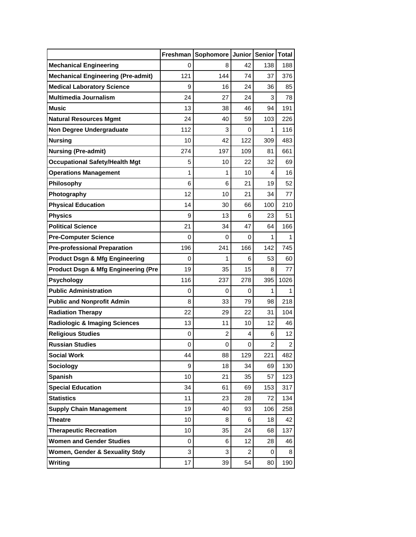|                                                |     | Freshman Sophomore | <b>Junior</b> | Senior   Total |                |
|------------------------------------------------|-----|--------------------|---------------|----------------|----------------|
| <b>Mechanical Engineering</b>                  | 0   | 8                  | 42            | 138            | 188            |
| <b>Mechanical Engineering (Pre-admit)</b>      | 121 | 144                | 74            | 37             | 376            |
| <b>Medical Laboratory Science</b>              | 9   | 16                 | 24            | 36             | 85             |
| <b>Multimedia Journalism</b>                   | 24  | 27                 | 24            | 3              | 78             |
| Music                                          | 13  | 38                 | 46            | 94             | 191            |
| <b>Natural Resources Mgmt</b>                  | 24  | 40                 | 59            | 103            | 226            |
| <b>Non Degree Undergraduate</b>                | 112 | 3                  | 0             | 1              | 116            |
| <b>Nursing</b>                                 | 10  | 42                 | 122           | 309            | 483            |
| <b>Nursing (Pre-admit)</b>                     | 274 | 197                | 109           | 81             | 661            |
| <b>Occupational Safety/Health Mgt</b>          | 5   | 10                 | 22            | 32             | 69             |
| <b>Operations Management</b>                   | 1   | 1                  | 10            | 4              | 16             |
| <b>Philosophy</b>                              | 6   | 6                  | 21            | 19             | 52             |
| Photography                                    | 12  | 10                 | 21            | 34             | 77             |
| <b>Physical Education</b>                      | 14  | 30                 | 66            | 100            | 210            |
| <b>Physics</b>                                 | 9   | 13                 | 6             | 23             | 51             |
| <b>Political Science</b>                       | 21  | 34                 | 47            | 64             | 166            |
| <b>Pre-Computer Science</b>                    | 0   | 0                  | 0             | 1              | 1              |
| <b>Pre-professional Preparation</b>            | 196 | 241                | 166           | 142            | 745            |
| <b>Product Dsgn &amp; Mfg Engineering</b>      | 0   | 1                  | 6             | 53             | 60             |
| <b>Product Dsgn &amp; Mfg Engineering (Pre</b> | 19  | 35                 | 15            | 8              | 77             |
| <b>Psychology</b>                              | 116 | 237                | 278           | 395            | 1026           |
| <b>Public Administration</b>                   | 0   | 0                  | 0             | 1              | 1              |
| <b>Public and Nonprofit Admin</b>              | 8   | 33                 | 79            | 98             | 218            |
| <b>Radiation Therapy</b>                       | 22  | 29                 | 22            | 31             | 104            |
| <b>Radiologic &amp; Imaging Sciences</b>       | 13  | 11                 | 10            | 12             | 46             |
| <b>Religious Studies</b>                       | 0   | 2                  | 4             | 6              | 12             |
| <b>Russian Studies</b>                         | 0   | 0                  | 0             | $\overline{2}$ | $\overline{c}$ |
| <b>Social Work</b>                             | 44  | 88                 | 129           | 221            | 482            |
| <b>Sociology</b>                               | 9   | 18                 | 34            | 69             | 130            |
| <b>Spanish</b>                                 | 10  | 21                 | 35            | 57             | 123            |
| <b>Special Education</b>                       | 34  | 61                 | 69            | 153            | 317            |
| <b>Statistics</b>                              | 11  | 23                 | 28            | 72             | 134            |
| <b>Supply Chain Management</b>                 | 19  | 40                 | 93            | 106            | 258            |
| Theatre                                        | 10  | 8                  | 6             | 18             | 42             |
| <b>Therapeutic Recreation</b>                  | 10  | 35                 | 24            | 68             | 137            |
| <b>Women and Gender Studies</b>                | 0   | 6                  | 12            | 28             | 46             |
| Women, Gender & Sexuality Stdy                 | 3   | 3                  | 2             | 0              | 8              |
| Writing                                        | 17  | 39                 | 54            | 80             | 190            |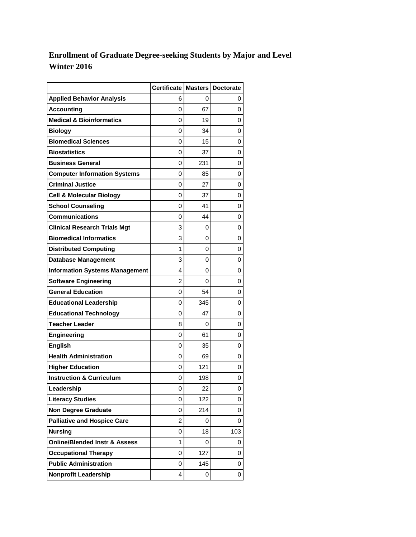## **Enrollment of Graduate Degree-seeking Students by Major and Level Winter 2016**

|                                          | Certificate Masters Doctorate |     |     |
|------------------------------------------|-------------------------------|-----|-----|
| <b>Applied Behavior Analysis</b>         | 6                             | 0   | 0   |
| <b>Accounting</b>                        | 0                             | 67  | 0   |
| <b>Medical &amp; Bioinformatics</b>      | 0                             | 19  | 0   |
| Biology                                  | 0                             | 34  | 0   |
| <b>Biomedical Sciences</b>               | 0                             | 15  | 0   |
| <b>Biostatistics</b>                     | 0                             | 37  | 0   |
| <b>Business General</b>                  | 0                             | 231 | 0   |
| <b>Computer Information Systems</b>      | 0                             | 85  | 0   |
| <b>Criminal Justice</b>                  | 0                             | 27  | 0   |
| <b>Cell &amp; Molecular Biology</b>      | 0                             | 37  | 0   |
| <b>School Counseling</b>                 | 0                             | 41  | 0   |
| Communications                           | 0                             | 44  | 0   |
| <b>Clinical Research Trials Mgt</b>      | 3                             | 0   | 0   |
| <b>Biomedical Informatics</b>            | 3                             | 0   | 0   |
| <b>Distributed Computing</b>             | 1                             | 0   | 0   |
| Database Management                      | 3                             | 0   | 0   |
| <b>Information Systems Management</b>    | 4                             | 0   | 0   |
| <b>Software Engineering</b>              | 2                             | 0   | 0   |
| <b>General Education</b>                 | 0                             | 54  | 0   |
| <b>Educational Leadership</b>            | 0                             | 345 | 0   |
| <b>Educational Technology</b>            | 0                             | 47  | 0   |
| Teacher Leader                           | 8                             | 0   | 0   |
| Engineering                              | 0                             | 61  | 0   |
| <b>English</b>                           | 0                             | 35  | 0   |
| <b>Health Administration</b>             | 0                             | 69  | 0   |
| <b>Higher Education</b>                  | 0                             | 121 | 0   |
| <b>Instruction &amp; Curriculum</b>      | 0                             | 198 | 0   |
| Leadership                               | 0                             | 22  | 0   |
| <b>Literacy Studies</b>                  | 0                             | 122 | 0   |
| <b>Non Degree Graduate</b>               | 0                             | 214 | 0   |
| <b>Palliative and Hospice Care</b>       | $\overline{c}$                | 0   | 0   |
| <b>Nursing</b>                           | 0                             | 18  | 103 |
| <b>Online/Blended Instr &amp; Assess</b> | 1                             | 0   | 0   |
| <b>Occupational Therapy</b>              | 0                             | 127 | 0   |
| <b>Public Administration</b>             | 0                             | 145 | 0   |
| <b>Nonprofit Leadership</b>              | 4                             | 0   | 0   |